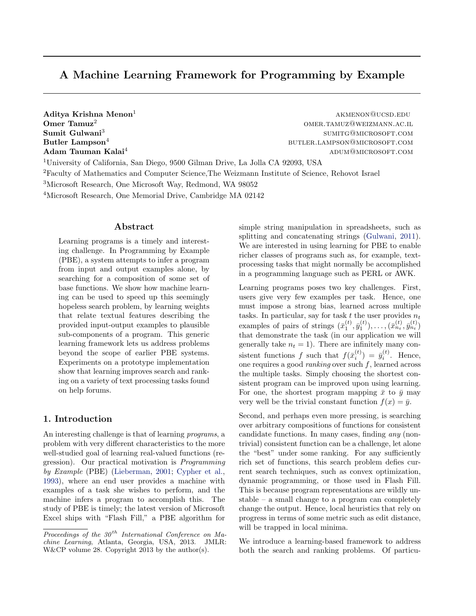# A Machine Learning Framework for Programming by Example

Sumit Gulwani<sup>3</sup>

 $\mathbf A$ ditya Krishna Menon<sup>1</sup> akmenon@ucsd.edu Omer Tamuz<sup>2</sup> omer.tamuz@weizmann.ac.il sumitg@microsoft.com Butler Lampson<sup>4</sup> butler component and the settler experience but the butler. LAMPSON@MICROSOFT.COM Adam Tauman Kalai<sup>4</sup> and a university of the settlement of the settlement of the settlement of the settlement of the settlement of the settlement of the settlement of the settlement of the settlement of the settlement of t

University of California, San Diego, 9500 Gilman Drive, La Jolla CA 92093, USA Faculty of Mathematics and Computer Science,The Weizmann Institute of Science, Rehovot Israel Microsoft Research, One Microsoft Way, Redmond, WA 98052 Microsoft Research, One Memorial Drive, Cambridge MA 02142

### Abstract

Learning programs is a timely and interesting challenge. In Programming by Example (PBE), a system attempts to infer a program from input and output examples alone, by searching for a composition of some set of base functions. We show how machine learning can be used to speed up this seemingly hopeless search problem, by learning weights that relate textual features describing the provided input-output examples to plausible sub-components of a program. This generic learning framework lets us address problems beyond the scope of earlier PBE systems. Experiments on a prototype implementation show that learning improves search and ranking on a variety of text processing tasks found on help forums.

# 1. Introduction

An interesting challenge is that of learning programs, a problem with very different characteristics to the more well-studied goal of learning real-valued functions (regression). Our practical motivation is Programming by Example (PBE) [\(Lieberman,](#page-8-0) [2001;](#page-8-0) [Cypher et al.,](#page-8-0) [1993\)](#page-8-0), where an end user provides a machine with examples of a task she wishes to perform, and the machine infers a program to accomplish this. The study of PBE is timely; the latest version of Microsoft Excel ships with "Flash Fill," a PBE algorithm for

simple string manipulation in spreadsheets, such as splitting and concatenating strings [\(Gulwani,](#page-8-0) [2011\)](#page-8-0). We are interested in using learning for PBE to enable richer classes of programs such as, for example, textprocessing tasks that might normally be accomplished in a programming language such as PERL or AWK.

Learning programs poses two key challenges. First, users give very few examples per task. Hence, one must impose a strong bias, learned across multiple tasks. In particular, say for task t the user provides  $n_t$ examples of pairs of strings  $(\bar{x}_1^{(t)}, \bar{y}_1^{(t)}), \ldots, (\bar{x}_{n_t}^{(t)}, \bar{y}_{n_t}^{(t)})$ that demonstrate the task (in our application we will generally take  $n_t = 1$ ). There are infinitely many consistent functions f such that  $f(\bar{x}_i^{(t)}) = \bar{y}_i^{(t)}$ . Hence, one requires a good ranking over such f, learned across the multiple tasks. Simply choosing the shortest consistent program can be improved upon using learning. For one, the shortest program mapping  $\bar{x}$  to  $\bar{y}$  may very well be the trivial constant function  $f(x) = \bar{y}$ .

Second, and perhaps even more pressing, is searching over arbitrary compositions of functions for consistent candidate functions. In many cases, finding any (nontrivial) consistent function can be a challenge, let alone the "best" under some ranking. For any sufficiently rich set of functions, this search problem defies current search techniques, such as convex optimization, dynamic programming, or those used in Flash Fill. This is because program representations are wildly unstable – a small change to a program can completely change the output. Hence, local heuristics that rely on progress in terms of some metric such as edit distance, will be trapped in local minima.

We introduce a learning-based framework to address both the search and ranking problems. Of particu-

Proceedings of the  $30<sup>th</sup>$  International Conference on Machine Learning, Atlanta, Georgia, USA, 2013. JMLR: W&CP volume 28. Copyright 2013 by the author(s).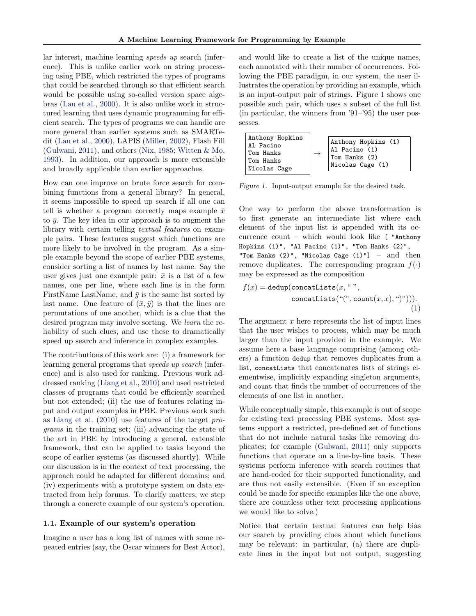<span id="page-1-0"></span>lar interest, machine learning speeds up search (inference). This is unlike earlier work on string processing using PBE, which restricted the types of programs that could be searched through so that efficient search would be possible using so-called version space algebras [\(Lau et al.,](#page-8-0) [2000\)](#page-8-0). It is also unlike work in structured learning that uses dynamic programming for efficient search. The types of programs we can handle are more general than earlier systems such as SMARTedit [\(Lau et al.,](#page-8-0) [2000\)](#page-8-0), LAPIS [\(Miller,](#page-8-0) [2002\)](#page-8-0), Flash Fill [\(Gulwani,](#page-8-0) [2011\)](#page-8-0), and others [\(Nix,](#page-8-0) [1985;](#page-8-0) [Witten & Mo,](#page-8-0) [1993\)](#page-8-0). In addition, our approach is more extensible and broadly applicable than earlier approaches.

How can one improve on brute force search for combining functions from a general library? In general, it seems impossible to speed up search if all one can tell is whether a program correctly maps example  $\bar{x}$ to  $\bar{y}$ . The key idea in our approach is to augment the library with certain telling textual features on example pairs. These features suggest which functions are more likely to be involved in the program. As a simple example beyond the scope of earlier PBE systems, consider sorting a list of names by last name. Say the user gives just one example pair:  $\bar{x}$  is a list of a few names, one per line, where each line is in the form FirstName LastName, and  $\bar{y}$  is the same list sorted by last name. One feature of  $(\bar{x}, \bar{y})$  is that the lines are permutations of one another, which is a clue that the desired program may involve sorting. We learn the reliability of such clues, and use these to dramatically speed up search and inference in complex examples.

The contributions of this work are: (i) a framework for learning general programs that speeds up search (inference) and is also used for ranking. Previous work addressed ranking [\(Liang et al.,](#page-8-0) [2010\)](#page-8-0) and used restricted classes of programs that could be efficiently searched but not extended; (ii) the use of features relating input and output examples in PBE. Previous work such as [Liang et al.](#page-8-0) [\(2010\)](#page-8-0) use features of the target programs in the training set; (iii) advancing the state of the art in PBE by introducing a general, extensible framework, that can be applied to tasks beyond the scope of earlier systems (as discussed shortly). While our discussion is in the context of text processing, the approach could be adapted for different domains; and (iv) experiments with a prototype system on data extracted from help forums. To clarify matters, we step through a concrete example of our system's operation.

#### 1.1. Example of our system's operation

Imagine a user has a long list of names with some repeated entries (say, the Oscar winners for Best Actor), and would like to create a list of the unique names, each annotated with their number of occurrences. Following the PBE paradigm, in our system, the user illustrates the operation by providing an example, which is an input-output pair of strings. Figure 1 shows one possible such pair, which uses a subset of the full list (in particular, the winners from '91–'95) the user possesses.



Figure 1. Input-output example for the desired task.

One way to perform the above transformation is to first generate an intermediate list where each element of the input list is appended with its occurrence count – which would look like [ "Anthony Hopkins (1)", "Al Pacino (1)", "Tom Hanks (2)", "Tom Hanks  $(2)$ ", "Nicolas Cage  $(1)$ "] - and then remove duplicates. The corresponding program  $f(.)$ may be expressed as the composition

$$
f(x) = \text{dedup}(\text{concatLists}(x, \text{`` } \text{''}, \\ \text{concatLists}(\text{``\text{''}, count}(x, x), \text{``\text{''})})).
$$
\n(1)

The argument  $x$  here represents the list of input lines that the user wishes to process, which may be much larger than the input provided in the example. We assume here a base language comprising (among others) a function dedup that removes duplicates from a list, concatLists that concatenates lists of strings elementwise, implicitly expanding singleton arguments, and count that finds the number of occurrences of the elements of one list in another.

While conceptually simple, this example is out of scope for existing text processing PBE systems. Most systems support a restricted, pre-defined set of functions that do not include natural tasks like removing duplicates; for example [\(Gulwani,](#page-8-0) [2011\)](#page-8-0) only supports functions that operate on a line-by-line basis. These systems perform inference with search routines that are hand-coded for their supported functionality, and are thus not easily extensible. (Even if an exception could be made for specific examples like the one above, there are countless other text processing applications we would like to solve.)

Notice that certain textual features can help bias our search by providing clues about which functions may be relevant: in particular, (a) there are duplicate lines in the input but not output, suggesting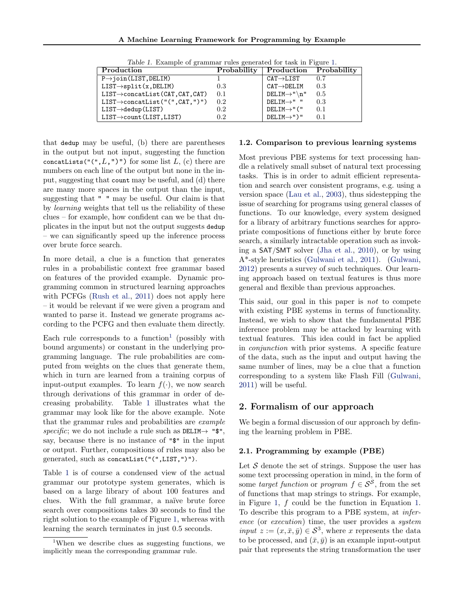| Production                                   | Probability | Production Probability                   |     |
|----------------------------------------------|-------------|------------------------------------------|-----|
| $P\rightarrow$ join(LIST, DELIM)             |             | $\texttt{CAT} \rightarrow \texttt{LIST}$ | 0.7 |
| $LIST \rightarrow split(x, DELIM)$           | 0.3         | $CAT \rightarrow DELIM$                  | 0.3 |
| $LIST \rightarrow concatList(CAT, CAT, CAT)$ | 0.1         | $DELIM \rightarrow "n"$                  | 0.5 |
| $LIST \rightarrow concatList("", CAT,"))")$  | 0.2         | $DELIM \rightarrow "$                    | 0.3 |
| $LIST \rightarrow dedup(LIST)$               | 0.2         | $DELIM \rightarrow "$ ("                 | 0.1 |
| $LIST \rightarrow count(LIST, LIST)$         | 0.2         | $DELIM \rightarrow "$                    | 0.1 |

Table 1. Example of grammar rules generated for task in Figure [1.](#page-1-0)

that dedup may be useful, (b) there are parentheses in the output but not input, suggesting the function concatLists(" $($ ", $L$ ," $)$ ") for some list  $L$ ,  $(c)$  there are numbers on each line of the output but none in the input, suggesting that count may be useful, and (d) there are many more spaces in the output than the input, suggesting that " " may be useful. Our claim is that by learning weights that tell us the reliability of these clues – for example, how confident can we be that duplicates in the input but not the output suggests dedup – we can significantly speed up the inference process over brute force search.

In more detail, a clue is a function that generates rules in a probabilistic context free grammar based on features of the provided example. Dynamic programming common in structured learning approaches with PCFGs [\(Rush et al.,](#page-8-0) [2011\)](#page-8-0) does not apply here – it would be relevant if we were given a program and wanted to parse it. Instead we generate programs according to the PCFG and then evaluate them directly.

Each rule corresponds to a function<sup>1</sup> (possibly with bound arguments) or constant in the underlying programming language. The rule probabilities are computed from weights on the clues that generate them, which in turn are learned from a training corpus of input-output examples. To learn  $f(\cdot)$ , we now search through derivations of this grammar in order of decreasing probability. Table 1 illustrates what the grammar may look like for the above example. Note that the grammar rules and probabilities are example specific; we do not include a rule such as DELIM $\rightarrow$  " $\gamma$ ", say, because there is no instance of "\$" in the input or output. Further, compositions of rules may also be generated, such as concatList("(",LIST,")").

Table 1 is of course a condensed view of the actual grammar our prototype system generates, which is based on a large library of about 100 features and clues. With the full grammar, a naïve brute force search over compositions takes 30 seconds to find the right solution to the example of Figure [1,](#page-1-0) whereas with learning the search terminates in just 0.5 seconds.

#### 1.2. Comparison to previous learning systems

Most previous PBE systems for text processing handle a relatively small subset of natural text processing tasks. This is in order to admit efficient representation and search over consistent programs, e.g. using a version space [\(Lau et al.,](#page-8-0) [2003\)](#page-8-0), thus sidestepping the issue of searching for programs using general classes of functions. To our knowledge, every system designed for a library of arbitrary functions searches for appropriate compositions of functions either by brute force search, a similarly intractable operation such as invoking a SAT/SMT solver [\(Jha et al.,](#page-8-0) [2010\)](#page-8-0), or by using A\*-style heuristics [\(Gulwani et al.,](#page-8-0) [2011\)](#page-8-0). [\(Gulwani,](#page-8-0) [2012\)](#page-8-0) presents a survey of such techniques. Our learning approach based on textual features is thus more general and flexible than previous approaches.

This said, our goal in this paper is *not* to compete with existing PBE systems in terms of functionality. Instead, we wish to show that the fundamental PBE inference problem may be attacked by learning with textual features. This idea could in fact be applied in conjunction with prior systems. A specific feature of the data, such as the input and output having the same number of lines, may be a clue that a function corresponding to a system like Flash Fill [\(Gulwani,](#page-8-0) [2011\)](#page-8-0) will be useful.

### 2. Formalism of our approach

We begin a formal discussion of our approach by defining the learning problem in PBE.

#### 2.1. Programming by example (PBE)

Let  $S$  denote the set of strings. Suppose the user has some text processing operation in mind, in the form of some target function or program  $f \in S^S$ , from the set of functions that map strings to strings. For example, in Figure [1,](#page-1-0) f could be the function in Equation [1.](#page-1-0) To describe this program to a PBE system, at inference (or execution) time, the user provides a system input  $z := (x, \bar{x}, \bar{y}) \in \mathcal{S}^3$ , where x represents the data to be processed, and  $(\bar{x}, \bar{y})$  is an example input-output pair that represents the string transformation the user

<sup>&</sup>lt;sup>1</sup>When we describe clues as suggesting functions, we implicitly mean the corresponding grammar rule.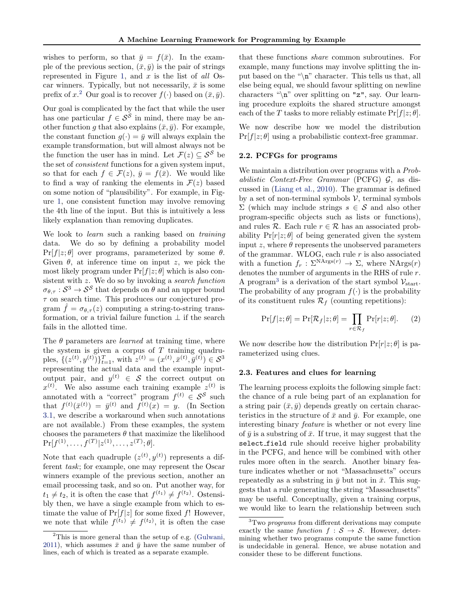<span id="page-3-0"></span>wishes to perform, so that  $\bar{y} = f(\bar{x})$ . In the example of the previous section,  $(\bar{x}, \bar{y})$  is the pair of strings represented in Figure [1,](#page-1-0) and  $x$  is the list of all Oscar winners. Typically, but not necessarily,  $\bar{x}$  is some prefix of  $x^2$  Our goal is to recover  $f(\cdot)$  based on  $(\bar{x}, \bar{y})$ .

Our goal is complicated by the fact that while the user has one particular  $f \in \mathcal{S}^{\mathcal{S}}$  in mind, there may be another function q that also explains  $(\bar{x}, \bar{y})$ . For example, the constant function  $g(\cdot) = \bar{y}$  will always explain the example transformation, but will almost always not be the function the user has in mind. Let  $\mathcal{F}(z) \subset \mathcal{S}^{\mathcal{S}}$  be the set of consistent functions for a given system input, so that for each  $f \in \mathcal{F}(z)$ ,  $\bar{y} = f(\bar{x})$ . We would like to find a way of ranking the elements in  $\mathcal{F}(z)$  based on some notion of "plausibility". For example, in Figure [1,](#page-1-0) one consistent function may involve removing the 4th line of the input. But this is intuitively a less likely explanation than removing duplicates.

We look to *learn* such a ranking based on *training* data. We do so by defining a probability model  $Pr[f|z;\theta]$  over programs, parameterized by some  $\theta$ . Given  $\theta$ , at inference time on input z, we pick the most likely program under  $Pr[f|z;\theta]$  which is also consistent with z. We do so by invoking a search function  $\sigma_{\theta,\tau}: \mathcal{S}^3 \to \mathcal{S}^{\mathcal{S}}$  that depends on  $\theta$  and an upper bound  $\tau$  on search time. This produces our conjectured program  $\hat{f} = \sigma_{\theta,\tau}(z)$  computing a string-to-string transformation, or a trivial failure function  $\perp$  if the search fails in the allotted time.

The  $\theta$  parameters are *learned* at training time, where the system is given a corpus of  $T$  training quadruples,  $\{(z^{(t)}, y^{(t)})\}_{t=1}^T$ , with  $z^{(t)} = (x^{(t)}, \bar{x}^{(t)}, \bar{y}^{(t)}) \in \mathcal{S}^3$ representing the actual data and the example inputoutput pair, and  $y^{(t)} \in S$  the correct output on  $x^{(t)}$ . We also assume each training example  $z^{(t)}$  is annotated with a "correct" program  $f^{(t)} \in S^S$  such that  $f^{(t)}(\bar{x}^{(t)}) = \bar{y}^{(t)}$  and  $f^{(t)}(x) = y$ . (In Section [3.1,](#page-5-0) we describe a workaround when such annotations are not available.) From these examples, the system chooses the parameters  $\theta$  that maximize the likelihood  $\Pr[f^{(1)},\ldots,f^{(T)}|z^{(1)},\ldots,z^{(T)};\theta].$ 

Note that each quadruple  $(z^{(t)}, y^{(t)})$  represents a different task; for example, one may represent the Oscar winners example of the previous section, another an email processing task, and so on. Put another way, for  $t_1 \neq t_2$ , it is often the case that  $f^{(t_1)} \neq f^{(t_2)}$ . Ostensibly then, we have a single example from which to estimate the value of  $Pr[f|z]$  for some fixed f! However, we note that while  $f^{(t_1)} \neq f^{(t_2)}$ , it is often the case

that these functions share common subroutines. For example, many functions may involve splitting the input based on the "\n" character. This tells us that, all else being equal, we should favour splitting on newline characters "\n" over splitting on "z", say. Our learning procedure exploits the shared structure amongst each of the T tasks to more reliably estimate  $Pr[f|z;\theta]$ .

We now describe how we model the distribution  $Pr[f|z;\theta]$  using a probabilistic context-free grammar.

### 2.2. PCFGs for programs

We maintain a distribution over programs with a *Prob*abilistic Context-Free Grammar (PCFG)  $\mathcal{G}$ , as discussed in [\(Liang et al.,](#page-8-0) [2010\)](#page-8-0). The grammar is defined by a set of non-terminal symbols  $\mathcal V$ , terminal symbols  $\Sigma$  (which may include strings  $s \in \mathcal{S}$  and also other program-specific objects such as lists or functions), and rules  $\mathcal R$ . Each rule  $r \in \mathcal R$  has an associated probability  $Pr[r|z;\theta]$  of being generated given the system input z, where  $\theta$  represents the unobserved parameters of the grammar. WLOG, each rule r is also associated with a function  $f_r : \Sigma^{\text{NArgs}(r)} \to \Sigma$ , where  $\text{NArgs}(r)$ denotes the number of arguments in the RHS of rule r. A program<sup>3</sup> is a derivation of the start symbol  $\mathcal{V}_{start}$ . The probability of any program  $f(\cdot)$  is the probability of its constituent rules  $\mathcal{R}_f$  (counting repetitions):

$$
\Pr[f|z;\theta] = \Pr[\mathcal{R}_f|z;\theta] = \prod_{r \in \mathcal{R}_f} \Pr[r|z;\theta]. \tag{2}
$$

We now describe how the distribution  $Pr[r|z;\theta]$  is parameterized using clues.

#### 2.3. Features and clues for learning

The learning process exploits the following simple fact: the chance of a rule being part of an explanation for a string pair  $(\bar{x}, \bar{y})$  depends greatly on certain characteristics in the structure of  $\bar{x}$  and  $\bar{y}$ . For example, one interesting binary feature is whether or not every line of  $\bar{y}$  is a substring of  $\bar{x}$ . If true, it may suggest that the select field rule should receive higher probability in the PCFG, and hence will be combined with other rules more often in the search. Another binary feature indicates whether or not "Massachusetts" occurs repeatedly as a substring in  $\bar{y}$  but not in  $\bar{x}$ . This suggests that a rule generating the string "Massachusetts" may be useful. Conceptually, given a training corpus, we would like to learn the relationship between such

<sup>2</sup>This is more general than the setup of e.g. [\(Gulwani,](#page-8-0) [2011\)](#page-8-0), which assumes  $\bar{x}$  and  $\bar{y}$  have the same number of lines, each of which is treated as a separate example.

 ${}^{3}$ Two programs from different derivations may compute exactly the same function  $f : \mathcal{S} \to \mathcal{S}$ . However, determining whether two programs compute the same function is undecidable in general. Hence, we abuse notation and consider these to be different functions.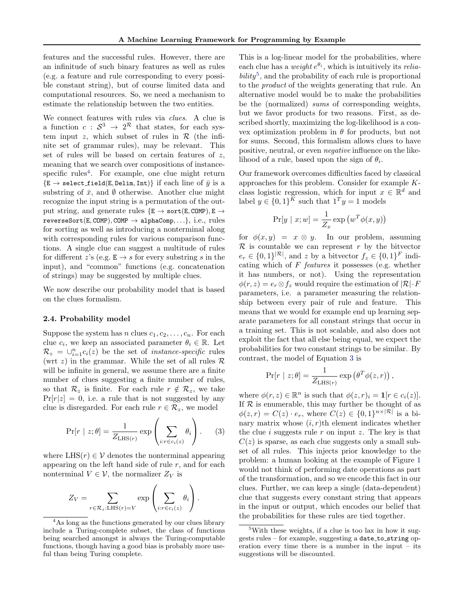<span id="page-4-0"></span>features and the successful rules. However, there are an infinitude of such binary features as well as rules (e.g. a feature and rule corresponding to every possible constant string), but of course limited data and computational resources. So, we need a mechanism to estimate the relationship between the two entities.

We connect features with rules via *clues*. A clue is a function  $c: S^3 \to 2^{\mathcal{R}}$  that states, for each system input  $z$ , which subset of rules in  $R$  (the infinite set of grammar rules), may be relevant. This set of rules will be based on certain features of  $z$ , meaning that we search over compositions of instancespecific rules<sup>4</sup>. For example, one clue might return  ${E \rightarrow \texttt{select-field}(E, \texttt{Delim}, \texttt{Int})}$  if each line of  $\bar{y}$  is a substring of  $\bar{x}$ , and  $\emptyset$  otherwise. Another clue might recognize the input string is a permutation of the output string, and generate rules  $\{E \rightarrow sort(E, \text{COMP}), E \rightarrow$  $reverseSort(E, COMP), COMP \rightarrow alphaComp, \ldots\}, i.e., rules$ for sorting as well as introducing a nonterminal along with corresponding rules for various comparison functions. A single clue can suggest a multitude of rules for different z's (e.g.  $E \rightarrow s$  for every substring s in the input), and "common" functions (e.g. concatenation of strings) may be suggested by multiple clues.

We now describe our probability model that is based on the clues formalism.

### 2.4. Probability model

Suppose the system has n clues  $c_1, c_2, \ldots, c_n$ . For each clue  $c_i$ , we keep an associated parameter  $\theta_i \in \mathbb{R}$ . Let  $\mathcal{R}_z = \bigcup_{i=1}^n c_i(z)$  be the set of *instance-specific* rules (wrt z) in the grammar. While the set of all rules  $\mathcal R$ will be infinite in general, we assume there are a finite number of clues suggesting a finite number of rules, so that  $\mathcal{R}_z$  is finite. For each rule  $r \notin \mathcal{R}_z$ , we take  $Pr[r|z] = 0$ , i.e. a rule that is not suggested by any clue is disregarded. For each rule  $r \in \mathcal{R}_z$ , we model

$$
\Pr[r \mid z; \theta] = \frac{1}{Z_{\text{LHS}(r)}} \exp\left(\sum_{i:r \in c_i(z)} \theta_i\right). \tag{3}
$$

where  $LHS(r) \in V$  denotes the nonterminal appearing appearing on the left hand side of rule  $r$ , and for each nonterminal  $V \in \mathcal{V}$ , the normalizer  $Z_V$  is

$$
Z_V = \sum_{r \in \mathcal{R}_z: \text{LHS}(r) = V} \exp \left( \sum_{i: r \in c_i(z)} \theta_i \right).
$$

This is a log-linear model for the probabilities, where each clue has a *weight*  $e^{\theta_i}$ , which is intuitively its *relia* $bility<sup>5</sup>$ , and the probability of each rule is proportional to the product of the weights generating that rule. An alternative model would be to make the probabilities be the (normalized) sums of corresponding weights, but we favor products for two reasons. First, as described shortly, maximizing the log-likelihood is a convex optimization problem in  $\theta$  for products, but not for sums. Second, this formalism allows clues to have positive, neutral, or even negative influence on the likelihood of a rule, based upon the sign of  $\theta_i$ .

Our framework overcomes difficulties faced by classical approaches for this problem. Consider for example Kclass logistic regression, which for input  $x \in \mathbb{R}^d$  and label  $y \in \{0,1\}^K$  such that  $1^T y = 1$  models

$$
\Pr[y \mid x; w] = \frac{1}{Z_x} \exp(w^T \phi(x, y))
$$

for  $\phi(x, y) = x \otimes y$ . In our problem, assuming  $\mathcal R$  is countable we can represent r by the bitvector  $e_r \in \{0,1\}^{|\mathcal{R}|}$ , and z by a bitvector  $f_z \in \{0,1\}^F$  indicating which of  $F$  *features* it possesses (e.g. whether it has numbers, or not). Using the representation  $\phi(r, z) = e_r \otimes f_z$  would require the estimation of  $|\mathcal{R}| \cdot F$ parameters, i.e. a parameter measuring the relationship between every pair of rule and feature. This means that we would for example end up learning separate parameters for all constant strings that occur in a training set. This is not scalable, and also does not exploit the fact that all else being equal, we expect the probabilities for two constant strings to be similar. By contrast, the model of Equation 3 is

$$
\Pr[r \mid z; \theta] = \frac{1}{Z_{\text{LHS}(r)}} \exp(\theta^T \phi(z, r)),
$$

where  $\phi(r, z) \in \mathbb{R}^n$  is such that  $\phi(z, r)_i = \mathbf{1}[r \in c_i(z)]$ . If  $R$  is enumerable, this may further be thought of as  $\phi(z,r) = C(z) \cdot e_r$ , where  $C(z) \in \{0,1\}^{n \times |\mathcal{R}|}$  is a binary matrix whose  $(i, r)$ th element indicates whether the clue i suggests rule  $r$  on input  $z$ . The key is that  $C(z)$  is sparse, as each clue suggests only a small subset of all rules. This injects prior knowledge to the problem: a human looking at the example of Figure [1](#page-1-0) would not think of performing date operations as part of the transformation, and so we encode this fact in our clues. Further, we can keep a single (data-dependent) clue that suggests every constant string that appears in the input or output, which encodes our belief that the probabilities for these rules are tied together.

<sup>&</sup>lt;sup>4</sup>As long as the functions generated by our clues library include a Turing-complete subset, the class of functions being searched amongst is always the Turing-computable functions, though having a good bias is probably more useful than being Turing complete.

<sup>&</sup>lt;sup>5</sup>With these weights, if a clue is too lax in how it suggests rules – for example, suggesting a date to string operation every time there is a number in the input – its suggestions will be discounted.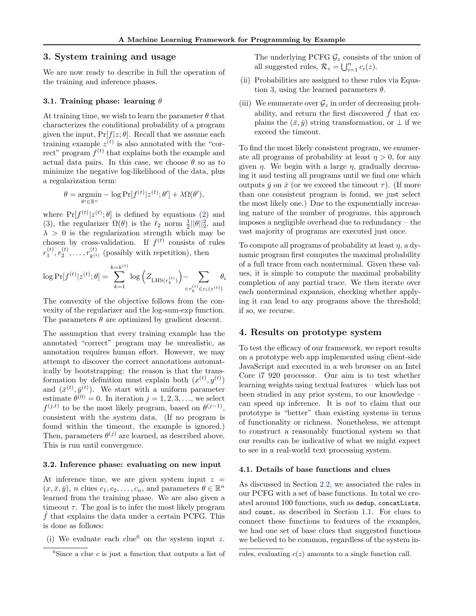## <span id="page-5-0"></span>3. System training and usage

We are now ready to describe in full the operation of the training and inference phases.

### 3.1. Training phase: learning  $\theta$

At training time, we wish to learn the parameter  $\theta$  that characterizes the conditional probability of a program given the input,  $Pr[f|z; \theta]$ . Recall that we assume each training example  $z^{(t)}$  is also annotated with the "correct" program  $f^{(t)}$  that explains both the example and actual data pairs. In this case, we choose  $\theta$  so as to minimize the negative log-likelihood of the data, plus a regularization term:

$$
\theta = \underset{\theta' \in \mathbb{R}^n}{\operatorname{argmin}} - \log \Pr[f^{(t)}|z^{(t)}; \theta'] + \lambda \Omega(\theta'),
$$

where  $Pr[f^{(t)}|z^{(t)};\theta]$  is defined by equations [\(2\)](#page-3-0) and [\(3\)](#page-4-0), the regularizer  $\Omega(\theta)$  is the  $\ell_2$  norm  $\frac{1}{2} ||\theta||_2^2$ , and  $\lambda > 0$  is the regularization strength which may be chosen by cross-validation. If  $f^{(t)}$  consists of rules  $r_1^{(t)}, r_2^{(t)}, \ldots, r_{k^{(t)}}^{(t)}$  (possibly with repetition), then

$$
\log \Pr[f^{(t)}|z^{(t)};\theta] = \sum_{k=1}^{k=k^{(t)}} \log \left(Z_{\text{LHS}(r_k^{(t)})}\right) - \sum_{i:r_k^{(t)} \in c_i(z^{(t)})} \theta_i
$$

The convexity of the objective follows from the convexity of the regularizer and the log-sum-exp function. The parameters  $\theta$  are optimized by gradient descent.

The assumption that every training example has the annotated "correct" program may be unrealistic, as annotation requires human effort. However, we may attempt to discover the correct annotations automatically by bootstrapping: the reason is that the transformation by definition must explain both  $(x^{(t)}, y^{(t)})$ and  $(\bar{x}^{(t)}, \bar{y}^{(t)})$ . We start with a uniform parameter estimate  $\theta^{(0)} = 0$ . In iteration  $j = 1, 2, 3, \ldots$ , we select  $f^{(j,t)}$  to be the most likely program, based on  $\theta^{(j-1)}$ , consistent with the system data. (If no program is found within the timeout, the example is ignored.) Then, parameters  $\theta^{(j)}$  are learned, as described above. This is run until convergence.

#### 3.2. Inference phase: evaluating on new input

At inference time, we are given system input  $z =$  $(x, \bar{x}, \bar{y}), n$  clues  $c_1, c_2, \ldots, c_n$ , and parameters  $\theta \in \mathbb{R}^n$ learned from the training phase. We are also given a timeout  $\tau$ . The goal is to infer the most likely program  $\hat{f}$  that explains the data under a certain PCFG. This is done as follows:

(i) We evaluate each clue<sup>6</sup> on the system input z.

The underlying PCFG  $\mathcal{G}_z$  consists of the union of all suggested rules,  $\mathcal{R}_z = \bigcup_{i=1}^n c_i(z)$ .

- (ii) Probabilities are assigned to these rules via Equa-tion [3,](#page-4-0) using the learned parameters  $\theta$ .
- (iii) We enumerate over  $\mathcal{G}_z$  in order of decreasing probability, and return the first discovered  $\hat{f}$  that explains the  $(\bar{x}, \bar{y})$  string transformation, or  $\perp$  if we exceed the timeout.

To find the most likely consistent program, we enumerate all programs of probability at least  $\eta > 0$ , for any given  $\eta$ . We begin with a large  $\eta$ , gradually decreasing it and testing all programs until we find one which outputs  $\bar{y}$  on  $\bar{x}$  (or we exceed the timeout  $\tau$ ). (If more than one consistent program is found, we just select the most likely one.) Due to the exponentially increasing nature of the number of programs, this approach imposes a negligible overhead due to redundancy – the vast majority of programs are executed just once.

To compute all programs of probability at least  $\eta$ , a dynamic program first computes the maximal probability of a full trace from each nonterminal. Given these values, it is simple to compute the maximal probability completion of any partial trace. We then iterate over each nonterminal expansion, checking whether applying it can lead to any programs above the threshold; if so, we recurse.

### 4. Results on prototype system

To test the efficacy of our framework, we report results on a prototype web app implemented using client-side JavaScript and executed in a web browser on an Intel Core i7 920 processor. Our aim is to test whether learning weights using textual features – which has not been studied in any prior system, to our knowledge – can speed up inference. It is not to claim that our prototype is "better" than existing systems in terms of functionality or richness. Nonetheless, we attempt to construct a reasonably functional system so that our results can be indicative of what we might expect to see in a real-world text processing system.

#### 4.1. Details of base functions and clues

As discussed in Section [2.2,](#page-3-0) we associated the rules in our PCFG with a set of base functions. In total we created around 100 functions, such as dedup, concatLists, and count, as described in Section [1.1.](#page-1-0) For clues to connect these functions to features of the examples, we had one set of base clues that suggested functions we believed to be common, regardless of the system in-

<sup>&</sup>lt;sup>6</sup>Since a clue c is just a function that outputs a list of

rules, evaluating  $c(z)$  amounts to a single function call.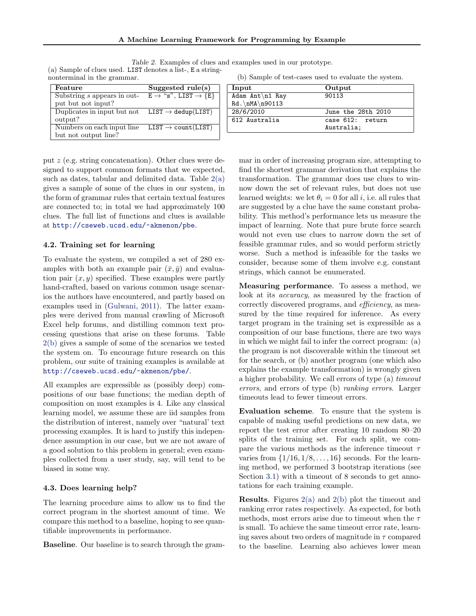| Table 2. Examples of clues and examples used in our prototype. |                                 |
|----------------------------------------------------------------|---------------------------------|
| (a) Sample of clues used. LIST denotes a list-, E a string-    |                                 |
| nonterminal in the grammar.                                    | (b) Sample of test-cases used t |

| Feature                     | Suggested $rule(s)$                                            |
|-----------------------------|----------------------------------------------------------------|
| Substring s appears in out- | $E \rightarrow$ "s", LIST $\rightarrow \{E\}$                  |
| put but not input?          |                                                                |
| Duplicates in input but not | $\text{LIST} \rightarrow \text{dedup}(\overline{\text{LIST}})$ |
| output?                     |                                                                |
| Numbers on each input line  | $LIST \rightarrow count(LIST)$                                 |
| but not output line?        |                                                                |

to evaluate the system.

612 Australia case 612: return

90113

Australia;

June the 28th 2010<br>case 612: return

Input Output

Adam Ant\n1 Ray  $Rd.\nMAA\n90113\n28/6/2010$ 

| mar in order of increasing program size, attempting to                |
|-----------------------------------------------------------------------|
| find the shortest grammar derivation that explains the                |
| transformation. The grammar does use clues to win-                    |
| now down the set of relevant rules, but does not use                  |
| learned weights: we let $\theta_i = 0$ for all i, i.e. all rules that |
| are suggested by a clue have the same constant proba-                 |
| bility. This method's performance lets us measure the                 |
| impact of learning. Note that pure brute force search                 |
| would not even use clues to narrow down the set of                    |
| feasible grammar rules, and so would perform strictly                 |
| worse. Such a method is infeasible for the tasks we                   |
| consider, because some of them involve e.g. constant                  |
| strings, which cannot be enumerated.                                  |

Measuring performance. To assess a method, we look at its accuracy, as measured by the fraction of correctly discovered programs, and efficiency, as measured by the time required for inference. As every target program in the training set is expressible as a composition of our base functions, there are two ways in which we might fail to infer the correct program: (a) the program is not discoverable within the timeout set for the search, or (b) another program (one which also explains the example transformation) is wrongly given a higher probability. We call errors of type (a) timeout errors, and errors of type (b) ranking errors. Larger timeouts lead to fewer timeout errors.

Evaluation scheme. To ensure that the system is capable of making useful predictions on new data, we report the test error after creating 10 random 80–20 splits of the training set. For each split, we compare the various methods as the inference timeout  $\tau$ varies from  $\{1/16, 1/8, \ldots, 16\}$  seconds. For the learning method, we performed 3 bootstrap iterations (see Section [3.1\)](#page-5-0) with a timeout of 8 seconds to get annotations for each training example.

**Results.** Figures  $2(a)$  and  $2(b)$  plot the timeout and ranking error rates respectively. As expected, for both methods, most errors arise due to timeout when the  $\tau$ is small. To achieve the same timeout error rate, learning saves about two orders of magnitude in  $\tau$  compared to the baseline. Learning also achieves lower mean

put z (e.g. string concatenation). Other clues were designed to support common formats that we expected, such as dates, tabular and delimited data. Table  $2(a)$ gives a sample of some of the clues in our system, in the form of grammar rules that certain textual features are connected to; in total we had approximately 100 clues. The full list of functions and clues is available at <http://cseweb.ucsd.edu/~akmenon/pbe>.

## 4.2. Training set for learning

To evaluate the system, we compiled a set of 280 examples with both an example pair  $(\bar{x}, \bar{y})$  and evaluation pair  $(x, y)$  specified. These examples were partly hand-crafted, based on various common usage scenarios the authors have encountered, and partly based on examples used in [\(Gulwani,](#page-8-0) [2011\)](#page-8-0). The latter examples were derived from manual crawling of Microsoft Excel help forums, and distilling common text processing questions that arise on these forums. Table 2(b) gives a sample of some of the scenarios we tested the system on. To encourage future research on this problem, our suite of training examples is available at <http://cseweb.ucsd.edu/~akmenon/pbe/>.

All examples are expressible as (possibly deep) compositions of our base functions; the median depth of composition on most examples is 4. Like any classical learning model, we assume these are iid samples from the distribution of interest, namely over "natural' text processing examples. It is hard to justify this independence assumption in our case, but we are not aware of a good solution to this problem in general; even examples collected from a user study, say, will tend to be biased in some way.

### 4.3. Does learning help?

The learning procedure aims to allow us to find the correct program in the shortest amount of time. We compare this method to a baseline, hoping to see quantifiable improvements in performance.

Baseline. Our baseline is to search through the gram-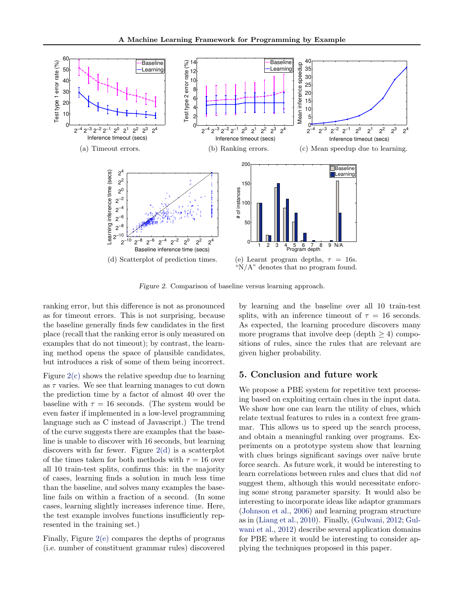<span id="page-7-0"></span>

Figure 2. Comparison of baseline versus learning approach.

ranking error, but this difference is not as pronounced as for timeout errors. This is not surprising, because the baseline generally finds few candidates in the first place (recall that the ranking error is only measured on examples that do not timeout); by contrast, the learning method opens the space of plausible candidates, but introduces a risk of some of them being incorrect.

Figure 2(c) shows the relative speedup due to learning as  $\tau$  varies. We see that learning manages to cut down the prediction time by a factor of almost 40 over the baseline with  $\tau = 16$  seconds. (The system would be even faster if implemented in a low-level programming language such as C instead of Javascript.) The trend of the curve suggests there are examples that the baseline is unable to discover with 16 seconds, but learning discovers with far fewer. Figure 2(d) is a scatterplot of the times taken for both methods with  $\tau = 16$  over all 10 train-test splits, confirms this: in the majority of cases, learning finds a solution in much less time than the baseline, and solves many examples the baseline fails on within a fraction of a second. (In some cases, learning slightly increases inference time. Here, the test example involves functions insufficiently represented in the training set.)

Finally, Figure 2(e) compares the depths of programs (i.e. number of constituent grammar rules) discovered

by learning and the baseline over all 10 train-test splits, with an inference timeout of  $\tau = 16$  seconds. As expected, the learning procedure discovers many more programs that involve deep (depth  $\geq 4$ ) compositions of rules, since the rules that are relevant are given higher probability.

## 5. Conclusion and future work

We propose a PBE system for repetitive text processing based on exploiting certain clues in the input data. We show how one can learn the utility of clues, which relate textual features to rules in a context free grammar. This allows us to speed up the search process, and obtain a meaningful ranking over programs. Experiments on a prototype system show that learning with clues brings significant savings over naïve brute force search. As future work, it would be interesting to learn correlations between rules and clues that did not suggest them, although this would necessitate enforcing some strong parameter sparsity. It would also be interesting to incorporate ideas like adaptor grammars [\(Johnson et al.,](#page-8-0) [2006\)](#page-8-0) and learning program structure as in [\(Liang et al.,](#page-8-0) [2010\)](#page-8-0). Finally, [\(Gulwani,](#page-8-0) [2012;](#page-8-0) [Gul](#page-8-0)[wani et al.,](#page-8-0) [2012\)](#page-8-0) describe several application domains for PBE where it would be interesting to consider applying the techniques proposed in this paper.